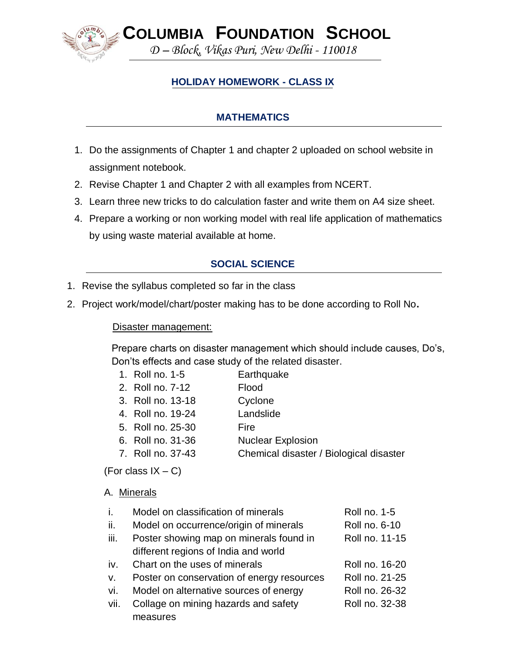**COLUMBIA FOUNDATION SCHOOL**

*D – Block, Vikas Puri, New Delhi - 110018*

# **HOLIDAY HOMEWORK - CLASS IX**

## **MATHEMATICS**

- 1. Do the assignments of Chapter 1 and chapter 2 uploaded on school website in assignment notebook.
- 2. Revise Chapter 1 and Chapter 2 with all examples from NCERT.
- 3. Learn three new tricks to do calculation faster and write them on A4 size sheet.
- 4. Prepare a working or non working model with real life application of mathematics by using waste material available at home.

### **SOCIAL SCIENCE**

- 1. Revise the syllabus completed so far in the class
- 2. Project work/model/chart/poster making has to be done according to Roll No**.**

#### Disaster management:

Prepare charts on disaster management which should include causes, Do's, Don'ts effects and case study of the related disaster.

- 1. Roll no. 1-5 Earthquake
- 2. Roll no. 7-12 Flood
- 3. Roll no. 13-18 Cyclone
- 4. Roll no. 19-24 Landslide
- 5. Roll no. 25-30 Fire
- 6. Roll no. 31-36 Nuclear Explosion
- 7. Roll no. 37-43 Chemical disaster / Biological disaster

(For class  $IX - C$ )

### A. Minerals

| i.   | Model on classification of minerals        | <b>Roll no. 1-5</b> |
|------|--------------------------------------------|---------------------|
| ii.  | Model on occurrence/origin of minerals     | Roll no. 6-10       |
| iii. | Poster showing map on minerals found in    | Roll no. 11-15      |
|      | different regions of India and world       |                     |
| iv.  | Chart on the uses of minerals              | Roll no. 16-20      |
| V.   | Poster on conservation of energy resources | Roll no. 21-25      |
| vi.  | Model on alternative sources of energy     | Roll no. 26-32      |
| vii. | Collage on mining hazards and safety       | Roll no. 32-38      |
|      | measures                                   |                     |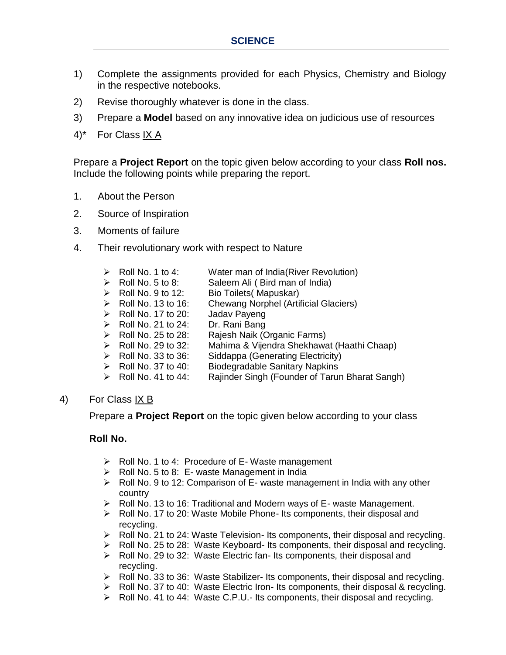- 1) Complete the assignments provided for each Physics, Chemistry and Biology in the respective notebooks.
- 2) Revise thoroughly whatever is done in the class.
- 3) Prepare a **Model** based on any innovative idea on judicious use of resources
- 4)\* For Class IX A

Prepare a **Project Report** on the topic given below according to your class **Roll nos.** Include the following points while preparing the report.

- 1. About the Person
- 2. Source of Inspiration
- 3. Moments of failure
- 4. Their revolutionary work with respect to Nature

|   | Roll No. 1 to 4:   | Water man of India(River Revolution)           |
|---|--------------------|------------------------------------------------|
| ➤ | Roll No. 5 to 8:   | Saleem Ali (Bird man of India)                 |
|   | Roll No. 9 to 12:  | Bio Toilets (Mapuskar)                         |
| ➤ | Roll No. 13 to 16: | <b>Chewang Norphel (Artificial Glaciers)</b>   |
| ➤ | Roll No. 17 to 20: | Jadav Payeng                                   |
|   | Roll No. 21 to 24: | Dr. Rani Bang                                  |
| ➤ | Roll No. 25 to 28: | Rajesh Naik (Organic Farms)                    |
| ➤ | Roll No. 29 to 32: | Mahima & Vijendra Shekhawat (Haathi Chaap)     |
|   | Roll No. 33 to 36: | Siddappa (Generating Electricity)              |
|   | Roll No. 37 to 40: | <b>Biodegradable Sanitary Napkins</b>          |
|   | Roll No. 41 to 44: | Rajinder Singh (Founder of Tarun Bharat Sangh) |
|   |                    |                                                |

#### 4) For Class IX B

Prepare a **Project Report** on the topic given below according to your class

#### **Roll No.**

- $\triangleright$  Roll No. 1 to 4: Procedure of E-Waste management
- $\triangleright$  Roll No. 5 to 8: E- waste Management in India
- $\triangleright$  Roll No. 9 to 12: Comparison of E- waste management in India with any other country
- $\triangleright$  Roll No. 13 to 16: Traditional and Modern ways of E- waste Management.
- ▶ Roll No. 17 to 20: Waste Mobile Phone- Its components, their disposal and recycling.
- $\triangleright$  Roll No. 21 to 24: Waste Television- Its components, their disposal and recycling.
- $\triangleright$  Roll No. 25 to 28: Waste Keyboard- Its components, their disposal and recycling.
- $\triangleright$  Roll No. 29 to 32: Waste Electric fan-Its components, their disposal and recycling.
- $\triangleright$  Roll No. 33 to 36: Waste Stabilizer- Its components, their disposal and recycling.
- $\triangleright$  Roll No. 37 to 40: Waste Electric Iron- Its components, their disposal & recycling.
- $\triangleright$  Roll No. 41 to 44: Waste C.P.U.- Its components, their disposal and recycling.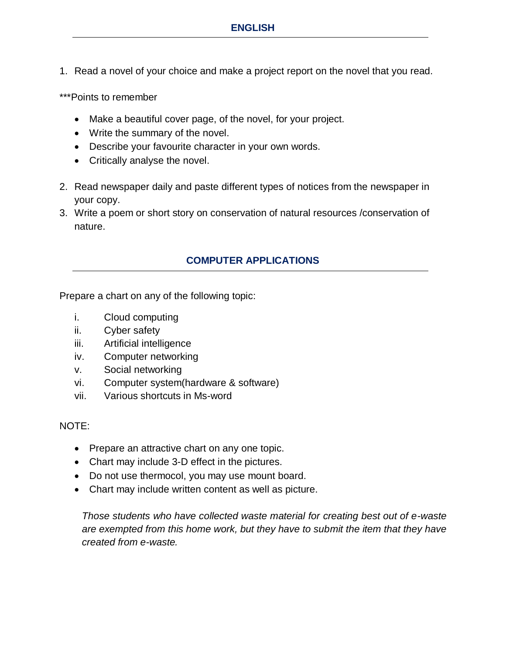1. Read a novel of your choice and make a project report on the novel that you read.

\*\*\*Points to remember

- Make a beautiful cover page, of the novel, for your project.
- Write the summary of the novel.
- Describe your favourite character in your own words.
- Critically analyse the novel.
- 2. Read newspaper daily and paste different types of notices from the newspaper in your copy.
- 3. Write a poem or short story on conservation of natural resources /conservation of nature.

## **COMPUTER APPLICATIONS**

Prepare a chart on any of the following topic:

- i. Cloud computing
- ii. Cyber safety
- iii. Artificial intelligence
- iv. Computer networking
- v. Social networking
- vi. Computer system(hardware & software)
- vii. Various shortcuts in Ms-word

### NOTE:

- Prepare an attractive chart on any one topic.
- Chart may include 3-D effect in the pictures.
- Do not use thermocol, you may use mount board.
- Chart may include written content as well as picture.

*Those students who have collected waste material for creating best out of e-waste are exempted from this home work, but they have to submit the item that they have created from e-waste.*